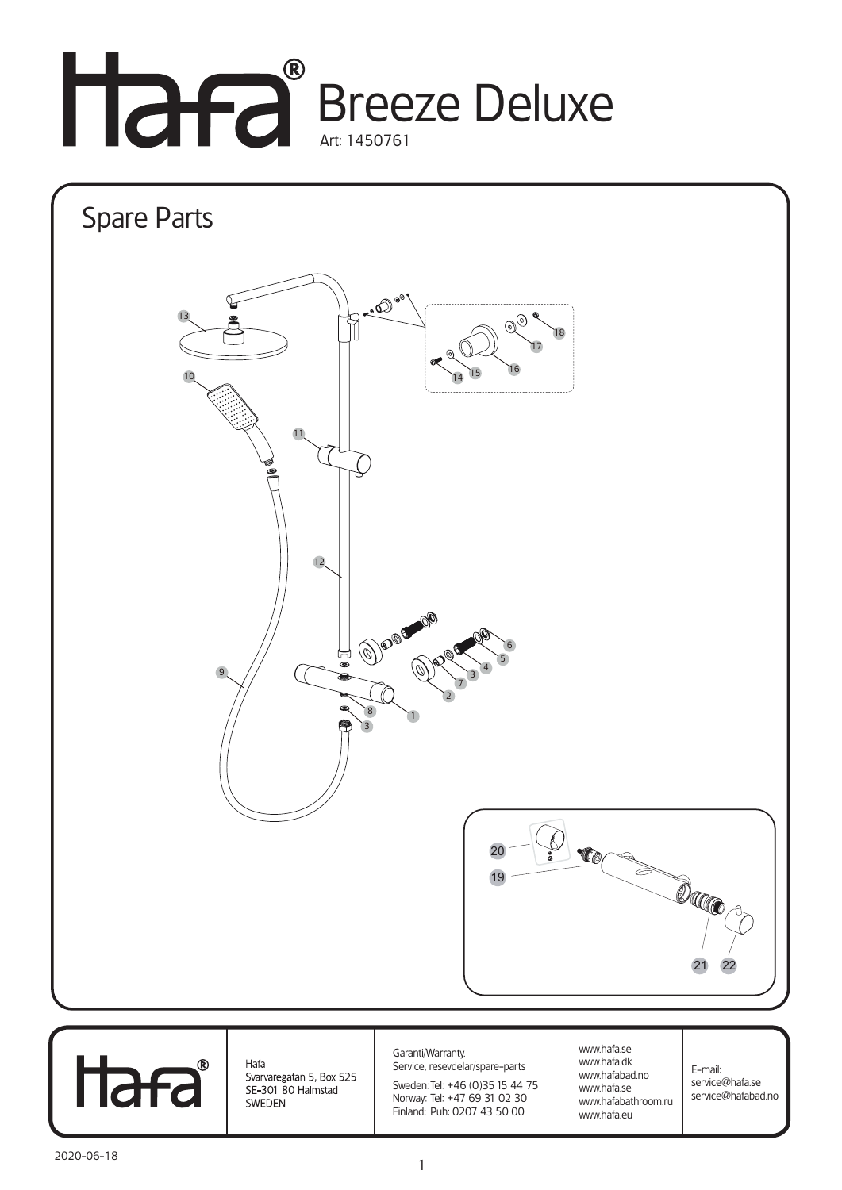



1

SE-301 80 Halmstad

SWEDEN

Norway: Tel: +47 69 31 02 30 Finland: Puh: 0207 43 50 00

www.hafa.se www.hafabathroom.ru www.hafa.eu

service@hafabad.no